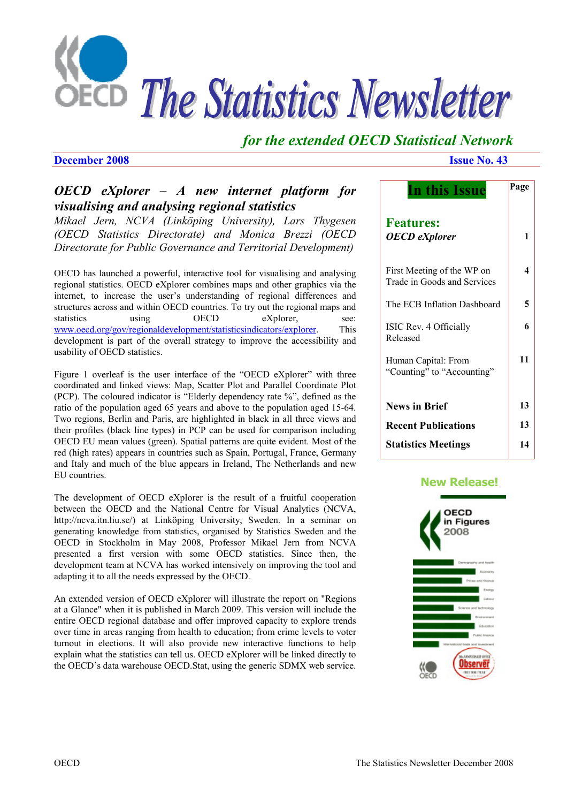

# *for the extended OECD Statistical Network*

### **December 2008 Issue No. 43**

# *OECD eXplorer – A new internet platform for visualising and analysing regional statistics*

*Mikael Jern, NCVA (Linköping University), Lars Thygesen (OECD Statistics Directorate) and Monica Brezzi (OECD Directorate for Public Governance and Territorial Development)* 

OECD has launched a powerful, interactive tool for visualising and analysing regional statistics. OECD eXplorer combines maps and other graphics via the internet, to increase the user's understanding of regional differences and structures across and within OECD countries. To try out the regional maps and statistics using OECD eXplorer, see: www.oecd.org/gov/regionaldevelopment/statisticsindicators/explorer. This development is part of the overall strategy to improve the accessibility and usability of OECD statistics.

Figure 1 overleaf is the user interface of the "OECD eXplorer" with three coordinated and linked views: Map, Scatter Plot and Parallel Coordinate Plot (PCP). The coloured indicator is "Elderly dependency rate %", defined as the ratio of the population aged 65 years and above to the population aged 15-64. Two regions, Berlin and Paris, are highlighted in black in all three views and their profiles (black line types) in PCP can be used for comparison including OECD EU mean values (green). Spatial patterns are quite evident. Most of the red (high rates) appears in countries such as Spain, Portugal, France, Germany and Italy and much of the blue appears in Ireland, The Netherlands and new EU countries.

The development of OECD eXplorer is the result of a fruitful cooperation between the OECD and the National Centre for Visual Analytics (NCVA, http://ncva.itn.liu.se/) at Linköping University, Sweden. In a seminar on generating knowledge from statistics, organised by Statistics Sweden and the OECD in Stockholm in May 2008, Professor Mikael Jern from NCVA presented a first version with some OECD statistics. Since then, the development team at NCVA has worked intensively on improving the tool and adapting it to all the needs expressed by the OECD.

An extended version of OECD eXplorer will illustrate the report on "Regions at a Glance" when it is published in March 2009. This version will include the entire OECD regional database and offer improved capacity to explore trends over time in areas ranging from health to education; from crime levels to voter turnout in elections. It will also provide new interactive functions to help explain what the statistics can tell us. OECD eXplorer will be linked directly to the OECD's data warehouse OECD.Stat, using the generic SDMX web service.

| In this Issue                                             | Page |
|-----------------------------------------------------------|------|
| <b>Features:</b><br><b>OECD</b> eXplorer                  | 1    |
| First Meeting of the WP on<br>Trade in Goods and Services | 4    |
| The ECB Inflation Dashboard                               | 5    |
| ISIC Rev. 4 Officially<br>Released                        | 6    |
| Human Capital: From<br>"Counting" to "Accounting"         | 11   |
| <b>News in Brief</b>                                      | 13   |
| <b>Recent Publications</b>                                | 13   |
| <b>Statistics Meetings</b>                                | 14   |

### **[New Release!](www.oecd.org/infigures)**

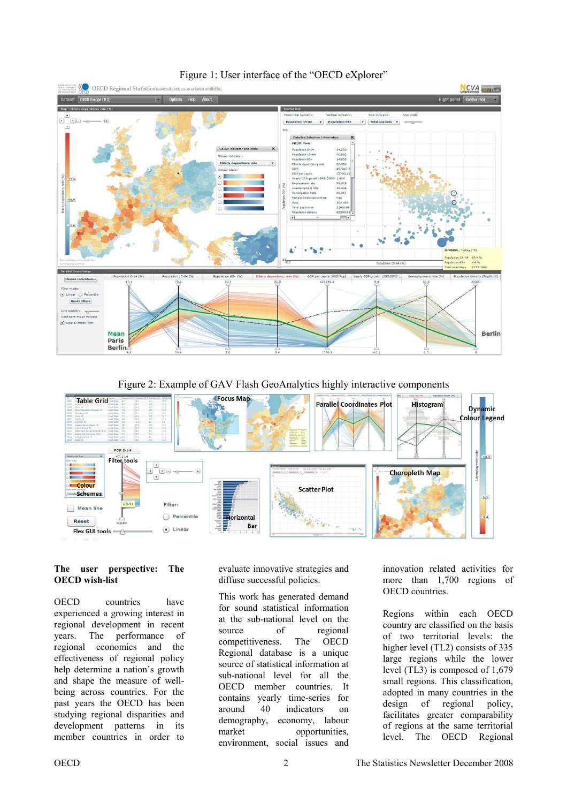

### Figure 1: User interface of the "OECD eXplorer"

Figure 2: Example of GAV Flash GeoAnalytics highly interactive components



#### **The user perspective: The OECD wish-list**

OECD countries have experienced a growing interest in regional development in recent years. The performance of regional economies and the effectiveness of regional policy help determine a nation's growth and shape the measure of wellbeing across countries. For the past years the OECD has been studying regional disparities and development patterns in its member countries in order to

evaluate innovative strategies and diffuse successful policies.

This work has generated demand for sound statistical information at the sub-national level on the source of regional competitiveness. The OECD Regional database is a unique source of statistical information at sub-national level for all the OECD member countries. It contains yearly time-series for around 40 indicators on demography, economy, labour market opportunities, environment, social issues and

innovation related activities for more than 1,700 regions of OECD countries.

Regions within each OECD country are classified on the basis of two territorial levels: the higher level (TL2) consists of 335 large regions while the lower level (TL3) is composed of 1,679 small regions. This classification, adopted in many countries in the design of regional policy, facilitates greater comparability of regions at the same territorial level. The OECD Regional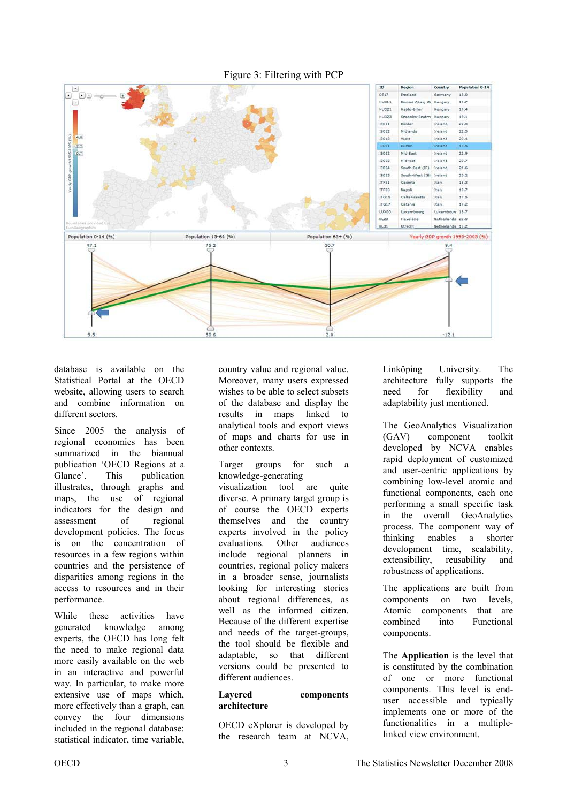

database is available on the Statistical Portal at the OECD website, allowing users to search and combine information on different sectors.

Since 2005 the analysis of regional economies has been summarized in the biannual publication 'OECD Regions at a Glance'. This publication illustrates, through graphs and maps, the use of regional indicators for the design and assessment of regional development policies. The focus is on the concentration of resources in a few regions within countries and the persistence of disparities among regions in the access to resources and in their performance.

While these activities have generated knowledge among experts, the OECD has long felt the need to make regional data more easily available on the web in an interactive and powerful way. In particular, to make more extensive use of maps which, more effectively than a graph, can convey the four dimensions included in the regional database: statistical indicator, time variable,

country value and regional value. Moreover, many users expressed wishes to be able to select subsets of the database and display the results in maps linked to analytical tools and export views of maps and charts for use in other contexts.

Target groups for such a knowledge-generating visualization tool are quite diverse. A primary target group is of course the OECD experts themselves and the country experts involved in the policy evaluations. Other audiences include regional planners in countries, regional policy makers in a broader sense, journalists looking for interesting stories about regional differences, as well as the informed citizen. Because of the different expertise and needs of the target-groups, the tool should be flexible and adaptable, so that different versions could be presented to different audiences.

#### **Layered components architecture**

OECD eXplorer is developed by the research team at NCVA, Linköping University. The architecture fully supports the need for flexibility and adaptability just mentioned.

The GeoAnalytics Visualization (GAV) component toolkit developed by NCVA enables rapid deployment of customized and user-centric applications by combining low-level atomic and functional components, each one performing a small specific task in the overall GeoAnalytics process. The component way of thinking enables a shorter development time, scalability, extensibility, reusability and robustness of applications.

The applications are built from components on two levels, Atomic components that are combined into Functional components.

The **Application** is the level that is constituted by the combination of one or more functional components. This level is enduser accessible and typically implements one or more of the functionalities in a multiplelinked view environment.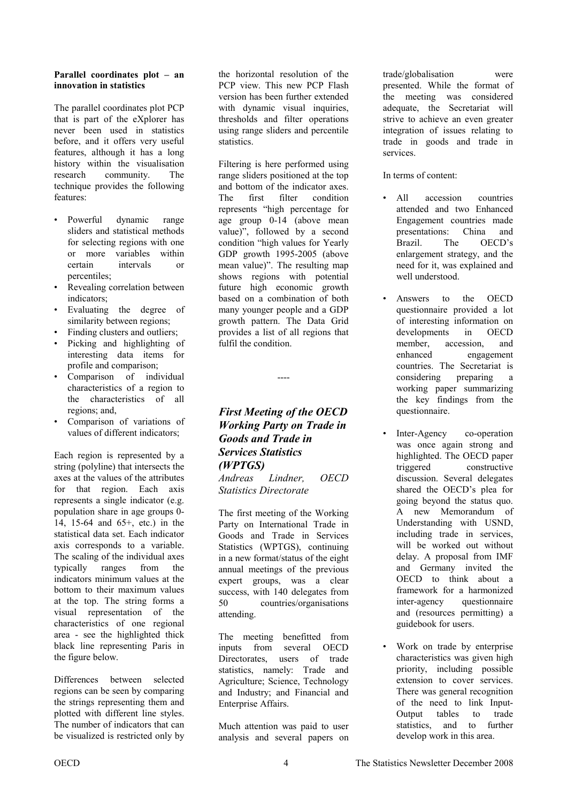#### <span id="page-3-0"></span>**Parallel coordinates plot – an innovation in statistics**

The parallel coordinates plot PCP that is part of the eXplorer has never been used in statistics before, and it offers very useful features, although it has a long history within the visualisation research community. The technique provides the following features:

- Powerful dynamic range sliders and statistical methods for selecting regions with one or more variables within certain intervals or percentiles;
- Revealing correlation between indicators;
- Evaluating the degree of similarity between regions;
- Finding clusters and outliers;
- Picking and highlighting of interesting data items for profile and comparison;
- Comparison of individual characteristics of a region to the characteristics of all regions; and,
- Comparison of variations of values of different indicators;

Each region is represented by a string (polyline) that intersects the axes at the values of the attributes for that region. Each axis represents a single indicator (e.g. population share in age groups 0- 14, 15-64 and 65+, etc.) in the statistical data set. Each indicator axis corresponds to a variable. The scaling of the individual axes typically ranges from the indicators minimum values at the bottom to their maximum values at the top. The string forms a visual representation of the characteristics of one regional area - see the highlighted thick black line representing Paris in the figure below.

Differences between selected regions can be seen by comparing the strings representing them and plotted with different line styles. The number of indicators that can be visualized is restricted only by

the horizontal resolution of the PCP view. This new PCP Flash version has been further extended with dynamic visual inquiries, thresholds and filter operations using range sliders and percentile statistics.

Filtering is here performed using range sliders positioned at the top and bottom of the indicator axes. The first filter condition represents "high percentage for age group 0-14 (above mean value)", followed by a second condition "high values for Yearly GDP growth 1995-2005 (above mean value)". The resulting map shows regions with potential future high economic growth based on a combination of both many younger people and a GDP growth pattern. The Data Grid provides a list of all regions that fulfil the condition.

# *First Meeting of the OECD Working Party on Trade in Goods and Trade in Services Statistics (WPTGS)*

----

*Andreas Lindner, OECD Statistics Directorate* 

The first meeting of the Working Party on International Trade in Goods and Trade in Services Statistics (WPTGS), continuing in a new format/status of the eight annual meetings of the previous expert groups, was a clear success, with 140 delegates from 50 countries/organisations attending.

The meeting benefitted from inputs from several OECD Directorates, users of trade statistics, namely: Trade and Agriculture; Science, Technology and Industry; and Financial and Enterprise Affairs.

Much attention was paid to user analysis and several papers on trade/globalisation were presented. While the format of the meeting was considered adequate, the Secretariat will strive to achieve an even greater integration of issues relating to trade in goods and trade in services.

In terms of content:

- All accession countries attended and two Enhanced Engagement countries made presentations: China and Brazil. The OECD's enlargement strategy, and the need for it, was explained and well understood.
- Answers to the OECD questionnaire provided a lot of interesting information on developments in OECD member, accession, and enhanced engagement countries. The Secretariat is considering preparing a working paper summarizing the key findings from the questionnaire.
- Inter-Agency co-operation was once again strong and highlighted. The OECD paper triggered constructive discussion. Several delegates shared the OECD's plea for going beyond the status quo. A new Memorandum of Understanding with USND, including trade in services, will be worked out without delay. A proposal from IMF and Germany invited the OECD to think about a framework for a harmonized inter-agency questionnaire and (resources permitting) a guidebook for users.
- Work on trade by enterprise characteristics was given high priority, including possible extension to cover services. There was general recognition of the need to link Input-Output tables to trade statistics, and to further develop work in this area.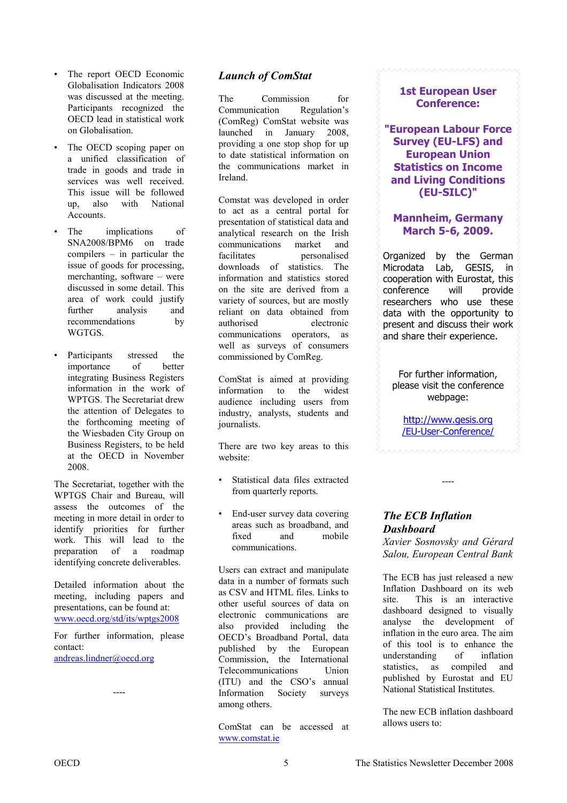- <span id="page-4-0"></span>The report OECD Economic Globalisation Indicators 2008 was discussed at the meeting. Participants recognized the OECD lead in statistical work on Globalisation.
- The OECD scoping paper on a unified classification of trade in goods and trade in services was well received. This issue will be followed up, also with National Accounts.
- The *implications* of SNA2008/BPM6 on trade compilers – in particular the issue of goods for processing, merchanting, software – were discussed in some detail. This area of work could justify further analysis and recommendations by WGTGS.
- Participants stressed the importance of better integrating Business Registers information in the work of WPTGS. The Secretariat drew the attention of Delegates to the forthcoming meeting of the Wiesbaden City Group on Business Registers, to be held at the OECD in November 2008.

The Secretariat, together with the WPTGS Chair and Bureau, will assess the outcomes of the meeting in more detail in order to identify priorities for further work. This will lead to the preparation of a roadmap identifying concrete deliverables.

Detailed information about the meeting, including papers and presentations, can be found at: www.oecd.org/std/its/wptgs2008

For further information, please contact:

----

andreas.lindner@oecd.org

*Launch of ComStat* 

The Commission for Communication Regulation's (ComReg) ComStat website was launched in January 2008, providing a one stop shop for up to date statistical information on the communications market in Ireland.

Comstat was developed in order to act as a central portal for presentation of statistical data and analytical research on the Irish communications market and facilitates personalised downloads of statistics. The information and statistics stored on the site are derived from a variety of sources, but are mostly reliant on data obtained from authorised electronic communications operators, as well as surveys of consumers commissioned by ComReg.

ComStat is aimed at providing information to the widest audience including users from industry, analysts, students and journalists.

There are two key areas to this website:

- Statistical data files extracted from quarterly reports.
- End-user survey data covering areas such as broadband, and fixed and mobile communications.

Users can extract and manipulate data in a number of formats such as CSV and HTML files. Links to other useful sources of data on electronic communications are also provided including the OECD's Broadband Portal, data published by the European Commission, the International Telecommunications Union (ITU) and the CSO's annual Information Society surveys among others.

ComStat can be accessed at www.comstat.ie

### **1st European User Conference:**

**"European Labour Force Survey (EU-LFS) and European Union Statistics on Income and Living Conditions (EU-SILC)"** 

## **Mannheim, Germany March 5-6, 2009.**

Organized by the German Microdata Lab, GESIS, in cooperation with Eurostat, this conference will provide researchers who use these data with the opportunity to present and discuss their work and share their experience.

For further information, please visit the conference webpage:

http://www.gesis.org [/EU-User-Conference/](http://www.gesis.org/EU-User-Conference/)

----

# *The ECB Inflation Dashboard*

*Xavier Sosnovsky and Gérard Salou, European Central Bank* 

The ECB has just released a new Inflation Dashboard on its web site. This is an interactive dashboard designed to visually analyse the development of inflation in the euro area. The aim of this tool is to enhance the understanding of inflation statistics, as compiled and published by Eurostat and EU National Statistical Institutes.

The new ECB inflation dashboard allows users to: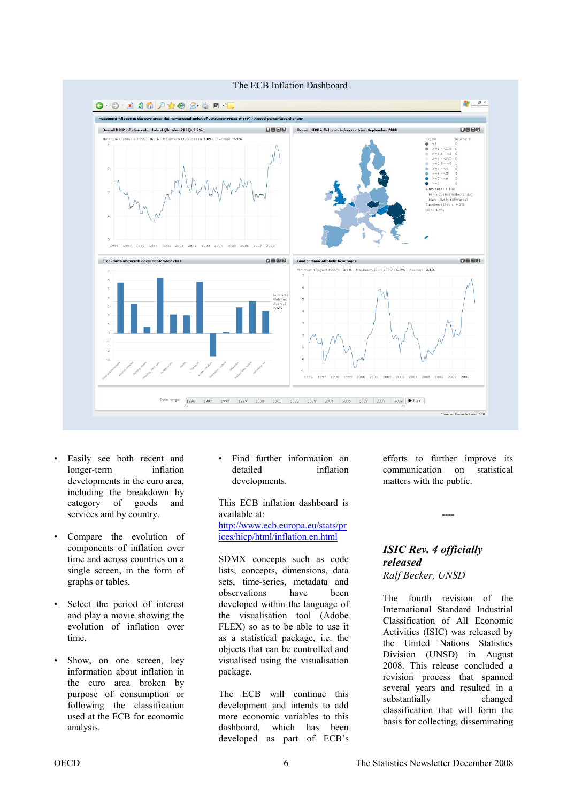<span id="page-5-0"></span>

- Easily see both recent and longer-term inflation developments in the euro area, including the breakdown by category of goods and services and by country.
- Compare the evolution of components of inflation over time and across countries on a single screen, in the form of graphs or tables.
- Select the period of interest and play a movie showing the evolution of inflation over time.
- Show, on one screen, key information about inflation in the euro area broken by purpose of consumption or following the classification used at the ECB for economic analysis.

Find further information on detailed inflation developments.

This ECB inflation dashboard is available at: [http://www.ecb.europa.eu/stats/pr](http://www.ecb.europa.eu/stats/prices/hicp/html/inflation.en.html) ices/hicp/html/inflation.en.html

SDMX concepts such as code lists, concepts, dimensions, data sets, time-series, metadata and observations have been developed within the language of the visualisation tool (Adobe FLEX) so as to be able to use it as a statistical package, i.e. the objects that can be controlled and visualised using the visualisation package.

The ECB will continue this development and intends to add more economic variables to this dashboard, which has been developed as part of ECB's

efforts to further improve its communication on statistical matters with the public.

#### ----

### *ISIC Rev. 4 officially released Ralf Becker, UNSD*

The fourth revision of the International Standard Industrial Classification of All Economic Activities (ISIC) was released by the United Nations Statistics Division (UNSD) in August 2008. This release concluded a revision process that spanned several years and resulted in a substantially changed classification that will form the basis for collecting, disseminating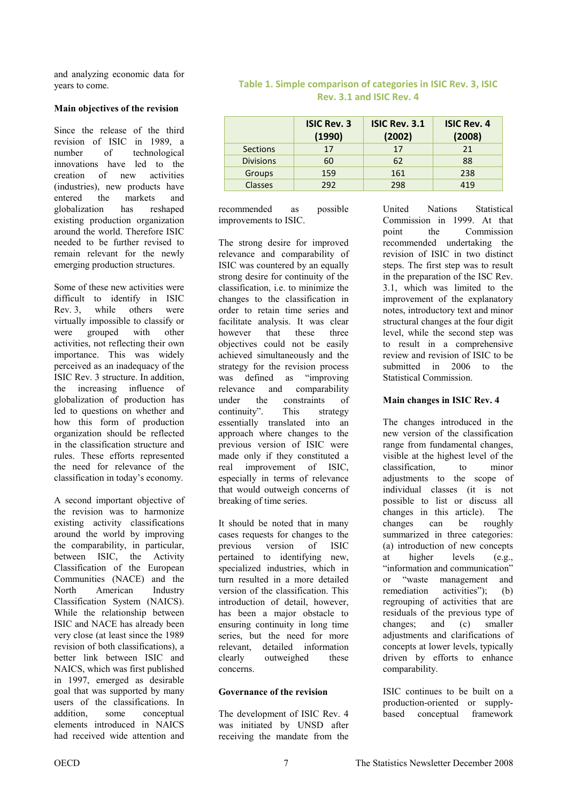and analyzing economic data for years to come.

#### **Main objectives of the revision**

Since the release of the third revision of ISIC in 1989, a number of technological innovations have led to the creation of new activities (industries), new products have entered the markets and globalization has reshaped existing production organization around the world. Therefore ISIC needed to be further revised to remain relevant for the newly emerging production structures.

Some of these new activities were difficult to identify in ISIC Rev. 3, while others were virtually impossible to classify or were grouped with other activities, not reflecting their own importance. This was widely perceived as an inadequacy of the ISIC Rev. 3 structure. In addition, the increasing influence of globalization of production has led to questions on whether and how this form of production organization should be reflected in the classification structure and rules. These efforts represented the need for relevance of the classification in today's economy.

A second important objective of the revision was to harmonize existing activity classifications around the world by improving the comparability, in particular, between ISIC, the Activity Classification of the European Communities (NACE) and the North American Industry Classification System (NAICS). While the relationship between ISIC and NACE has already been very close (at least since the 1989 revision of both classifications), a better link between ISIC and NAICS, which was first published in 1997, emerged as desirable goal that was supported by many users of the classifications. In addition, some conceptual elements introduced in NAICS had received wide attention and

|                  | <b>ISIC Rev. 3</b><br>(1990) | <b>ISIC Rev. 3.1</b><br>(2002) | <b>ISIC Rev. 4</b><br>(2008) |
|------------------|------------------------------|--------------------------------|------------------------------|
| Sections         | 17                           | 17                             | 21                           |
| <b>Divisions</b> | 60                           | 62                             | 88                           |
| Groups           | 159                          | 161                            | 238                          |
| <b>Classes</b>   | 292                          | 298                            | 419                          |

### **Table 1. Simple comparison of categories in ISIC Rev. 3, ISIC Rev. 3.1 and ISIC Rev. 4**

recommended as possible improvements to ISIC.

The strong desire for improved relevance and comparability of ISIC was countered by an equally strong desire for continuity of the classification, i.e. to minimize the changes to the classification in order to retain time series and facilitate analysis. It was clear however that these three objectives could not be easily achieved simultaneously and the strategy for the revision process was defined as "improving relevance and comparability under the constraints of continuity". This strategy essentially translated into an approach where changes to the previous version of ISIC were made only if they constituted a real improvement of ISIC, especially in terms of relevance that would outweigh concerns of breaking of time series.

It should be noted that in many cases requests for changes to the previous version of ISIC pertained to identifying new, specialized industries, which in turn resulted in a more detailed version of the classification. This introduction of detail, however, has been a major obstacle to ensuring continuity in long time series, but the need for more relevant, detailed information clearly outweighed these concerns.

### **Governance of the revision**

The development of ISIC Rev. 4 was initiated by UNSD after receiving the mandate from the United Nations Statistical Commission in 1999. At that point the Commission recommended undertaking the revision of ISIC in two distinct steps. The first step was to result in the preparation of the ISC Rev. 3.1, which was limited to the improvement of the explanatory notes, introductory text and minor structural changes at the four digit level, while the second step was to result in a comprehensive review and revision of ISIC to be submitted in 2006 to the Statistical Commission.

### **Main changes in ISIC Rev. 4**

The changes introduced in the new version of the classification range from fundamental changes, visible at the highest level of the classification, to minor adjustments to the scope of individual classes (it is not possible to list or discuss all changes in this article). The changes can be roughly summarized in three categories: (a) introduction of new concepts at higher levels (e.g., "information and communication" or "waste management and remediation activities"); (b) regrouping of activities that are residuals of the previous type of changes; and (c) smaller adjustments and clarifications of concepts at lower levels, typically driven by efforts to enhance comparability.

ISIC continues to be built on a production-oriented or supplybased conceptual framework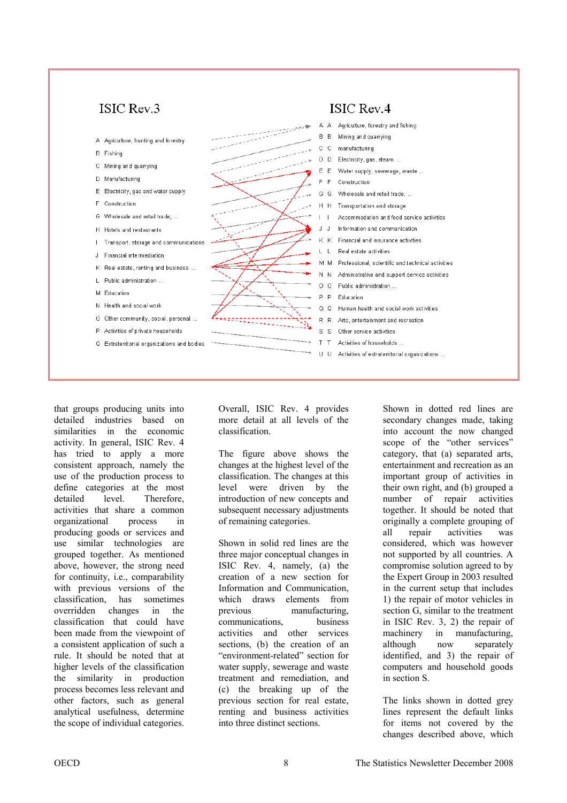

that groups producing units into detailed industries based on similarities in the economic activity. In general, ISIC Rev. 4 has tried to apply a more consistent approach, namely the use of the production process to define categories at the most detailed level. Therefore, activities that share a common organizational process in producing goods or services and use similar technologies are grouped together. As mentioned above, however, the strong need for continuity, i.e., comparability with previous versions of the classification, has sometimes overridden changes in the classification that could have been made from the viewpoint of a consistent application of such a rule. It should be noted that at higher levels of the classification the similarity in production process becomes less relevant and other factors, such as general analytical usefulness, determine the scope of individual categories.

Overall, ISIC Rev. 4 provides more detail at all levels of the classification.

The figure above shows the changes at the highest level of the classification. The changes at this level were driven by the introduction of new concepts and subsequent necessary adjustments of remaining categories.

Shown in solid red lines are the three major conceptual changes in ISIC Rev. 4, namely, (a) the creation of a new section for Information and Communication, which draws elements from previous manufacturing, communications, business activities and other services sections, (b) the creation of an "environment-related" section for water supply, sewerage and waste treatment and remediation, and (c) the breaking up of the previous section for real estate, renting and business activities into three distinct sections.

Shown in dotted red lines are secondary changes made, taking into account the now changed scope of the "other services" category, that (a) separated arts, entertainment and recreation as an important group of activities in their own right, and (b) grouped a number of repair activities together. It should be noted that originally a complete grouping of all repair activities was considered, which was however not supported by all countries. A compromise solution agreed to by the Expert Group in 2003 resulted in the current setup that includes 1) the repair of motor vehicles in section G, similar to the treatment in ISIC Rev. 3, 2) the repair of machinery in manufacturing, although now separately identified, and 3) the repair of computers and household goods in section S.

The links shown in dotted grey lines represent the default links for items not covered by the changes described above, which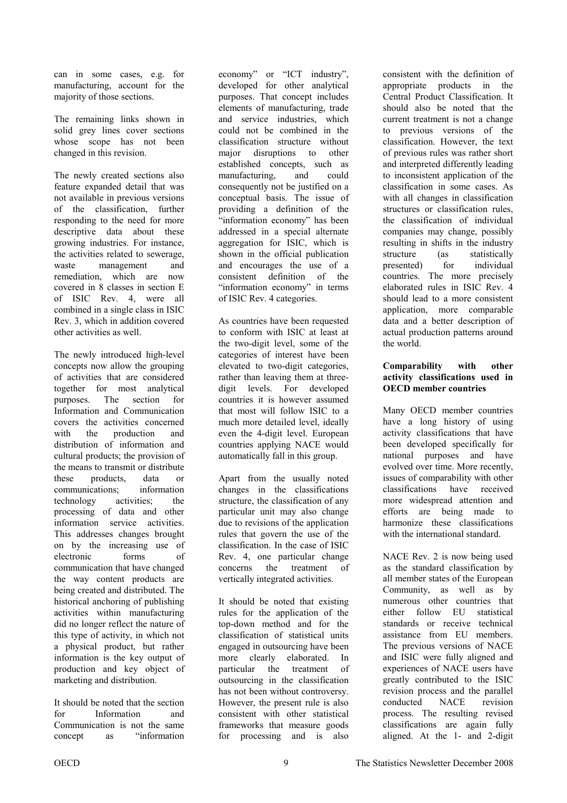can in some cases, e.g. for manufacturing, account for the majority of those sections.

The remaining links shown in solid grey lines cover sections whose scope has not been changed in this revision.

The newly created sections also feature expanded detail that was not available in previous versions of the classification, further responding to the need for more descriptive data about these growing industries. For instance, the activities related to sewerage, waste management and remediation, which are now covered in 8 classes in section E of ISIC Rev. 4, were all combined in a single class in ISIC Rev. 3, which in addition covered other activities as well.

The newly introduced high-level concepts now allow the grouping of activities that are considered together for most analytical purposes. The section for Information and Communication covers the activities concerned with the production and distribution of information and cultural products; the provision of the means to transmit or distribute these products, data or communications; information technology activities; the processing of data and other information service activities. This addresses changes brought on by the increasing use of electronic forms of communication that have changed the way content products are being created and distributed. The historical anchoring of publishing activities within manufacturing did no longer reflect the nature of this type of activity, in which not a physical product, but rather information is the key output of production and key object of marketing and distribution.

It should be noted that the section for Information and Communication is not the same concept as "information

economy" or "ICT industry", developed for other analytical purposes. That concept includes elements of manufacturing, trade and service industries, which could not be combined in the classification structure without major disruptions to other established concepts, such as manufacturing, and could consequently not be justified on a conceptual basis. The issue of providing a definition of the "information economy" has been addressed in a special alternate aggregation for ISIC, which is shown in the official publication and encourages the use of a consistent definition of the "information economy" in terms of ISIC Rev. 4 categories.

As countries have been requested to conform with ISIC at least at the two-digit level, some of the categories of interest have been elevated to two-digit categories, rather than leaving them at threedigit levels. For developed countries it is however assumed that most will follow ISIC to a much more detailed level, ideally even the 4-digit level. European countries applying NACE would automatically fall in this group.

Apart from the usually noted changes in the classifications structure, the classification of any particular unit may also change due to revisions of the application rules that govern the use of the classification. In the case of ISIC Rev. 4, one particular change concerns the treatment of vertically integrated activities.

It should be noted that existing rules for the application of the top-down method and for the classification of statistical units engaged in outsourcing have been more clearly elaborated. In particular the treatment of outsourcing in the classification has not been without controversy. However, the present rule is also consistent with other statistical frameworks that measure goods for processing and is also

consistent with the definition of appropriate products in the Central Product Classification. It should also be noted that the current treatment is not a change to previous versions of the classification. However, the text of previous rules was rather short and interpreted differently leading to inconsistent application of the classification in some cases. As with all changes in classification structures or classification rules, the classification of individual companies may change, possibly resulting in shifts in the industry structure (as statistically presented) for individual countries. The more precisely elaborated rules in ISIC Rev. 4 should lead to a more consistent application, more comparable data and a better description of actual production patterns around the world.

#### **Comparability with other activity classifications used in OECD member countries**

Many OECD member countries have a long history of using activity classifications that have been developed specifically for national purposes and have evolved over time. More recently, issues of comparability with other classifications have received more widespread attention and efforts are being made to harmonize these classifications with the international standard.

NACE Rev. 2 is now being used as the standard classification by all member states of the European Community, as well as by numerous other countries that either follow EU statistical standards or receive technical assistance from EU members. The previous versions of NACE and ISIC were fully aligned and experiences of NACE users have greatly contributed to the ISIC revision process and the parallel conducted NACE revision process. The resulting revised classifications are again fully aligned. At the 1- and 2-digit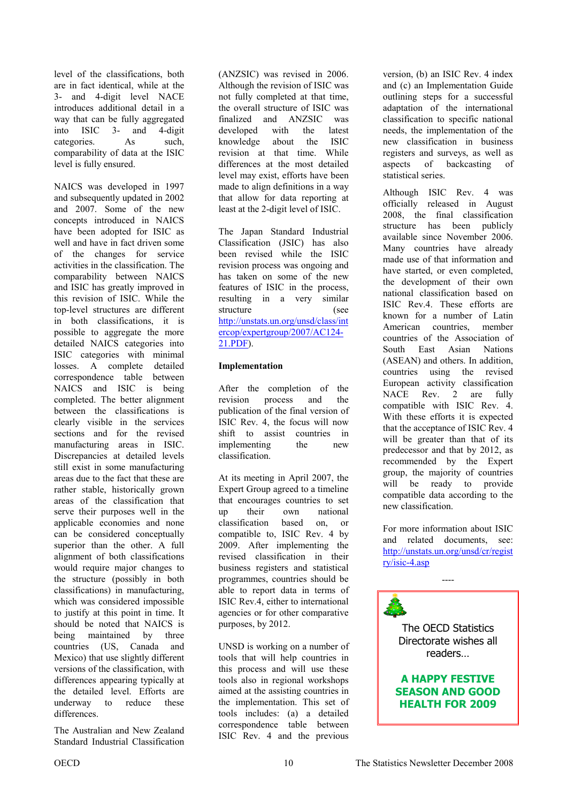level of the classifications, both are in fact identical, while at the 3- and 4-digit level NACE introduces additional detail in a way that can be fully aggregated into ISIC 3- and 4-digit categories. As such, comparability of data at the ISIC level is fully ensured.

NAICS was developed in 1997 and subsequently updated in 2002 and 2007. Some of the new concepts introduced in NAICS have been adopted for ISIC as well and have in fact driven some of the changes for service activities in the classification. The comparability between NAICS and ISIC has greatly improved in this revision of ISIC. While the top-level structures are different in both classifications, it is possible to aggregate the more detailed NAICS categories into ISIC categories with minimal losses. A complete detailed correspondence table between NAICS and ISIC is being completed. The better alignment between the classifications is clearly visible in the services sections and for the revised manufacturing areas in ISIC. Discrepancies at detailed levels still exist in some manufacturing areas due to the fact that these are rather stable, historically grown areas of the classification that serve their purposes well in the applicable economies and none can be considered conceptually superior than the other. A full alignment of both classifications would require major changes to the structure (possibly in both classifications) in manufacturing, which was considered impossible to justify at this point in time. It should be noted that NAICS is being maintained by three countries (US, Canada and Mexico) that use slightly different versions of the classification, with differences appearing typically at the detailed level. Efforts are underway to reduce these differences.

The Australian and New Zealand Standard Industrial Classification

(ANZSIC) was revised in 2006. Although the revision of ISIC was not fully completed at that time, the overall structure of ISIC was finalized and ANZSIC was developed with the latest knowledge about the ISIC revision at that time. While differences at the most detailed level may exist, efforts have been made to align definitions in a way that allow for data reporting at least at the 2-digit level of ISIC.

The Japan Standard Industrial Classification (JSIC) has also been revised while the ISIC revision process was ongoing and has taken on some of the new features of ISIC in the process, resulting in a very similar structure (see [http://unstats.un.org/unsd/class/int](http://unstats.un.org/unsd/class/intercop/expertgroup/2007/AC124-21.PDF) ercop/expertgroup/2007/AC124- 21.PDF).

#### **Implementation**

After the completion of the revision process and the publication of the final version of ISIC Rev. 4, the focus will now shift to assist countries in implementing the new classification.

At its meeting in April 2007, the Expert Group agreed to a timeline that encourages countries to set up their own national classification based on, or compatible to, ISIC Rev. 4 by 2009. After implementing the revised classification in their business registers and statistical programmes, countries should be able to report data in terms of ISIC Rev.4, either to international agencies or for other comparative purposes, by 2012.

UNSD is working on a number of tools that will help countries in this process and will use these tools also in regional workshops aimed at the assisting countries in the implementation. This set of tools includes: (a) a detailed correspondence table between ISIC Rev. 4 and the previous

version, (b) an ISIC Rev. 4 index and (c) an Implementation Guide outlining steps for a successful adaptation of the international classification to specific national needs, the implementation of the new classification in business registers and surveys, as well as aspects of backcasting of statistical series.

Although ISIC Rev. 4 was officially released in August 2008, the final classification structure has been publicly available since November 2006. Many countries have already made use of that information and have started, or even completed. the development of their own national classification based on ISIC Rev.4. These efforts are known for a number of Latin American countries, member countries of the Association of South East Asian Nations (ASEAN) and others. In addition, countries using the revised European activity classification NACE Rev. 2 are fully compatible with ISIC Rev. 4. With these efforts it is expected that the acceptance of ISIC Rev. 4 will be greater than that of its predecessor and that by 2012, as recommended by the Expert group, the majority of countries will be ready to provide compatible data according to the new classification.

For more information about ISIC and related documents, see: [http://unstats.un.org/unsd/cr/regist](http://unstats.un.org/unsd/cr/registry/isic-4.asp) ry/isic-4.asp

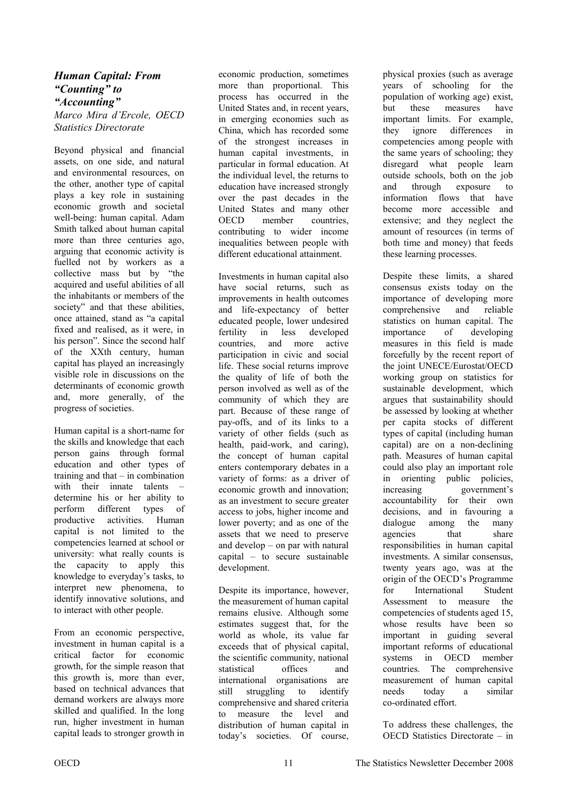### <span id="page-10-0"></span>*Human Capital: From "Counting" to "Accounting" Marco Mira d'Ercole, OECD Statistics Directorate*

Beyond physical and financial assets, on one side, and natural and environmental resources, on the other, another type of capital plays a key role in sustaining economic growth and societal well-being: human capital. Adam Smith talked about human capital more than three centuries ago, arguing that economic activity is fuelled not by workers as a collective mass but by "the acquired and useful abilities of all the inhabitants or members of the society" and that these abilities, once attained, stand as "a capital fixed and realised, as it were, in his person". Since the second half of the XXth century, human capital has played an increasingly visible role in discussions on the determinants of economic growth and, more generally, of the progress of societies.

Human capital is a short-name for the skills and knowledge that each person gains through formal education and other types of training and that – in combination with their innate talents – determine his or her ability to perform different types of productive activities. Human capital is not limited to the competencies learned at school or university: what really counts is the capacity to apply this knowledge to everyday's tasks, to interpret new phenomena, to identify innovative solutions, and to interact with other people.

From an economic perspective, investment in human capital is a critical factor for economic growth, for the simple reason that this growth is, more than ever, based on technical advances that demand workers are always more skilled and qualified. In the long run, higher investment in human capital leads to stronger growth in

economic production, sometimes more than proportional. This process has occurred in the United States and, in recent years, in emerging economies such as China, which has recorded some of the strongest increases in human capital investments, in particular in formal education. At the individual level, the returns to education have increased strongly over the past decades in the United States and many other OECD member countries, contributing to wider income inequalities between people with different educational attainment.

Investments in human capital also have social returns, such as improvements in health outcomes and life-expectancy of better educated people, lower undesired fertility in less developed countries, and more active participation in civic and social life. These social returns improve the quality of life of both the person involved as well as of the community of which they are part. Because of these range of pay-offs, and of its links to a variety of other fields (such as health, paid-work, and caring), the concept of human capital enters contemporary debates in a variety of forms: as a driver of economic growth and innovation; as an investment to secure greater access to jobs, higher income and lower poverty; and as one of the assets that we need to preserve and develop – on par with natural capital – to secure sustainable development.

Despite its importance, however, the measurement of human capital remains elusive. Although some estimates suggest that, for the world as whole, its value far exceeds that of physical capital, the scientific community, national statistical offices and international organisations are still struggling to identify comprehensive and shared criteria to measure the level and distribution of human capital in today's societies. Of course,

physical proxies (such as average years of schooling for the population of working age) exist, but these measures have important limits. For example, they ignore differences in competencies among people with the same years of schooling; they disregard what people learn outside schools, both on the job and through exposure to information flows that have become more accessible and extensive; and they neglect the amount of resources (in terms of both time and money) that feeds these learning processes.

Despite these limits, a shared consensus exists today on the importance of developing more comprehensive and reliable statistics on human capital. The importance of developing measures in this field is made forcefully by the recent report of the joint UNECE/Eurostat/OECD working group on statistics for sustainable development, which argues that sustainability should be assessed by looking at whether per capita stocks of different types of capital (including human capital) are on a non-declining path. Measures of human capital could also play an important role in orienting public policies, increasing government's accountability for their own decisions, and in favouring a dialogue among the many agencies that share responsibilities in human capital investments. A similar consensus, twenty years ago, was at the origin of the OECD's Programme for International Student Assessment to measure the competencies of students aged 15, whose results have been so important in guiding several important reforms of educational systems in OECD member countries. The comprehensive measurement of human capital needs today a similar co-ordinated effort.

To address these challenges, the OECD Statistics Directorate – in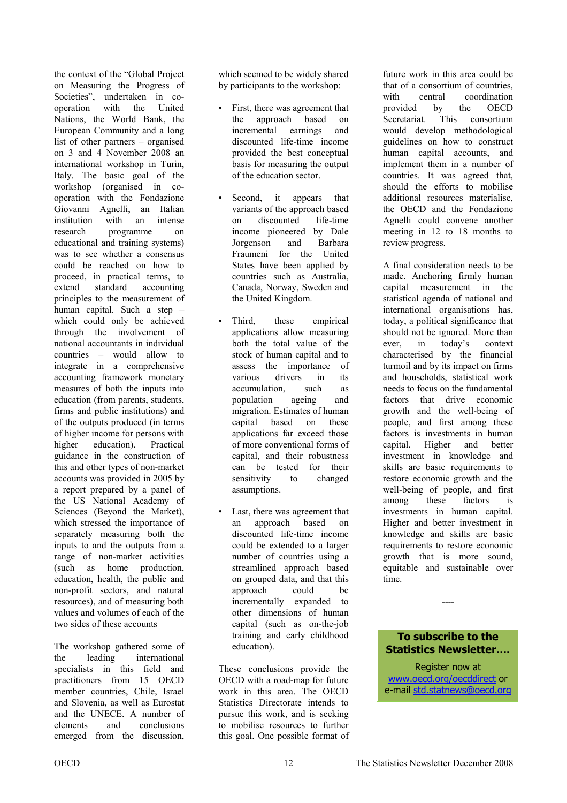the context of the "Global Project on Measuring the Progress of Societies", undertaken in cooperation with the United Nations, the World Bank, the European Community and a long list of other partners – organised on 3 and 4 November 2008 an international workshop in Turin, Italy. The basic goal of the workshop (organised in cooperation with the Fondazione Giovanni Agnelli, an Italian institution with an intense research programme on educational and training systems) was to see whether a consensus could be reached on how to proceed, in practical terms, to extend standard accounting principles to the measurement of human capital. Such a step – which could only be achieved through the involvement of national accountants in individual countries – would allow to integrate in a comprehensive accounting framework monetary measures of both the inputs into education (from parents, students, firms and public institutions) and of the outputs produced (in terms of higher income for persons with higher education). Practical guidance in the construction of this and other types of non-market accounts was provided in 2005 by a report prepared by a panel of the US National Academy of Sciences (Beyond the Market), which stressed the importance of separately measuring both the inputs to and the outputs from a range of non-market activities (such as home production, education, health, the public and non-profit sectors, and natural resources), and of measuring both values and volumes of each of the two sides of these accounts

The workshop gathered some of the leading international specialists in this field and practitioners from 15 OECD member countries, Chile, Israel and Slovenia, as well as Eurostat and the UNECE. A number of elements and conclusions emerged from the discussion,

which seemed to be widely shared by participants to the workshop:

- First, there was agreement that the approach based on incremental earnings and discounted life-time income provided the best conceptual basis for measuring the output of the education sector.
- Second, it appears that variants of the approach based on discounted life-time income pioneered by Dale Jorgenson and Barbara Fraumeni for the United States have been applied by countries such as Australia, Canada, Norway, Sweden and the United Kingdom.
- Third, these empirical applications allow measuring both the total value of the stock of human capital and to assess the importance of various drivers in its accumulation, such as population ageing and migration. Estimates of human capital based on these applications far exceed those of more conventional forms of capital, and their robustness can be tested for their sensitivity to changed assumptions.
- Last, there was agreement that an approach based on discounted life-time income could be extended to a larger number of countries using a streamlined approach based on grouped data, and that this approach could be incrementally expanded to other dimensions of human capital (such as on-the-job training and early childhood education).

These conclusions provide the OECD with a road-map for future work in this area. The OECD Statistics Directorate intends to pursue this work, and is seeking to mobilise resources to further this goal. One possible format of

future work in this area could be that of a consortium of countries, with central coordination provided by the OECD Secretariat. This consortium would develop methodological guidelines on how to construct human capital accounts, and implement them in a number of countries. It was agreed that, should the efforts to mobilise additional resources materialise, the OECD and the Fondazione Agnelli could convene another meeting in 12 to 18 months to review progress.

A final consideration needs to be made. Anchoring firmly human capital measurement in the statistical agenda of national and international organisations has, today, a political significance that should not be ignored. More than ever, in today's context characterised by the financial turmoil and by its impact on firms and households, statistical work needs to focus on the fundamental factors that drive economic growth and the well-being of people, and first among these factors is investments in human capital. Higher and better investment in knowledge and skills are basic requirements to restore economic growth and the well-being of people, and first among these factors is investments in human capital. Higher and better investment in knowledge and skills are basic requirements to restore economic growth that is more sound, equitable and sustainable over time.

**To subscribe to the Statistics Newsletter….** 

----

Register now at www.oecd.org/oecddirect or e-mail std.statnews@oecd.org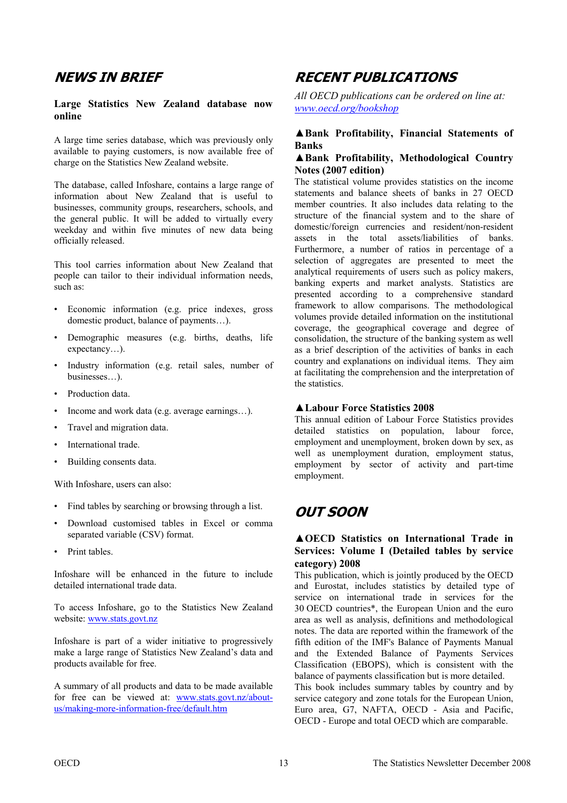# <span id="page-12-0"></span>**NEWS IN BRIEF**

#### **Large Statistics New Zealand database now online**

A large time series database, which was previously only available to paying customers, is now available free of charge on the Statistics New Zealand website.

The database, called Infoshare, contains a large range of information about New Zealand that is useful to businesses, community groups, researchers, schools, and the general public. It will be added to virtually every weekday and within five minutes of new data being officially released.

This tool carries information about New Zealand that people can tailor to their individual information needs, such as:

- Economic information (e.g. price indexes, gross domestic product, balance of payments…).
- Demographic measures (e.g. births, deaths, life expectancy…).
- Industry information (e.g. retail sales, number of businesses…).
- Production data.
- Income and work data (e.g. average earnings…).
- Travel and migration data.
- International trade.
- Building consents data.

With Infoshare, users can also:

- Find tables by searching or browsing through a list.
- Download customised tables in Excel or comma separated variable (CSV) format.
- Print tables.

Infoshare will be enhanced in the future to include detailed international trade data.

To access Infoshare, go to the Statistics New Zealand website: www.stats.govt.nz

Infoshare is part of a wider initiative to progressively make a large range of Statistics New Zealand's data and products available for free.

A summary of all products and data to be made available for free can be viewed at: www.stats.govt.nz/aboutus/making-more-information-free/default.htm

# **RECENT PUBLICATIONS**

*All OECD publications can be ordered on line at: www.oecd.org/bookshop*

### **▲Bank Profitability, Financial Statements of Banks**

#### **▲Bank Profitability, Methodological Country Notes (2007 edition)**

The statistical volume provides statistics on the income statements and balance sheets of banks in 27 OECD member countries. It also includes data relating to the structure of the financial system and to the share of domestic/foreign currencies and resident/non-resident assets in the total assets/liabilities of banks. Furthermore, a number of ratios in percentage of a selection of aggregates are presented to meet the analytical requirements of users such as policy makers, banking experts and market analysts. Statistics are presented according to a comprehensive standard framework to allow comparisons. The methodological volumes provide detailed information on the institutional coverage, the geographical coverage and degree of consolidation, the structure of the banking system as well as a brief description of the activities of banks in each country and explanations on individual items. They aim at facilitating the comprehension and the interpretation of the statistics.

#### **▲Labour Force Statistics 2008**

This annual edition of Labour Force Statistics provides detailed statistics on population, labour force, employment and unemployment, broken down by sex, as well as unemployment duration, employment status, employment by sector of activity and part-time employment.

# **OUT SOON**

### **▲OECD Statistics on International Trade in Services: Volume I (Detailed tables by service category) 2008**

This publication, which is jointly produced by the OECD and Eurostat, includes statistics by detailed type of service on international trade in services for the 30 OECD countries\*, the European Union and the euro area as well as analysis, definitions and methodological notes. The data are reported within the framework of the fifth edition of the IMF's Balance of Payments Manual and the Extended Balance of Payments Services Classification (EBOPS), which is consistent with the balance of payments classification but is more detailed. This book includes summary tables by country and by service category and zone totals for the European Union, Euro area, G7, NAFTA, OECD - Asia and Pacific, OECD - Europe and total OECD which are comparable.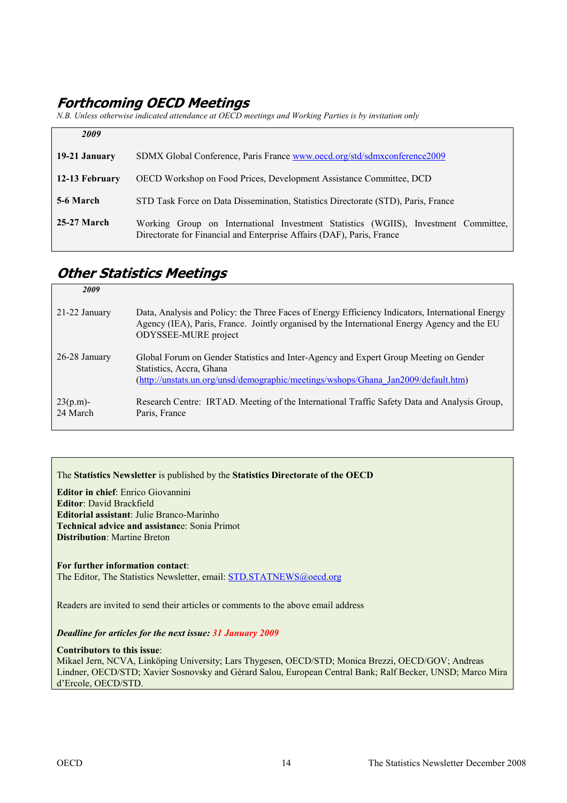# <span id="page-13-0"></span>**Forthcoming OECD Meetings**

*N.B. Unless otherwise indicated attendance at OECD meetings and Working Parties is by invitation only* 

| 2009           |                                                                                                                                                              |
|----------------|--------------------------------------------------------------------------------------------------------------------------------------------------------------|
| 19-21 January  | SDMX Global Conference, Paris France www.oecd.org/std/sdmxconference2009                                                                                     |
| 12-13 February | <b>OECD Workshop on Food Prices, Development Assistance Committee, DCD</b>                                                                                   |
| 5-6 March      | STD Task Force on Data Dissemination, Statistics Directorate (STD), Paris, France                                                                            |
| 25-27 March    | Working Group on International Investment Statistics (WGIIS), Investment Committee,<br>Directorate for Financial and Enterprise Affairs (DAF), Paris, France |

# **Other Statistics Meetings**

| 2009                    |                                                                                                                                                                                                                          |
|-------------------------|--------------------------------------------------------------------------------------------------------------------------------------------------------------------------------------------------------------------------|
| $21-22$ January         | Data, Analysis and Policy: the Three Faces of Energy Efficiency Indicators, International Energy<br>Agency (IEA), Paris, France. Jointly organised by the International Energy Agency and the EU<br>ODYSSEE-MURE project |
| 26-28 January           | Global Forum on Gender Statistics and Inter-Agency and Expert Group Meeting on Gender<br>Statistics, Accra, Ghana<br>(http://unstats.un.org/unsd/demographic/meetings/wshops/Ghana Jan2009/default.htm)                  |
| $23(p.m)$ -<br>24 March | Research Centre: IRTAD. Meeting of the International Traffic Safety Data and Analysis Group,<br>Paris, France                                                                                                            |

The **Statistics Newsletter** is published by the **Statistics Directorate of the OECD** 

**Editor in chief**: Enrico Giovannini **Editor**: David Brackfield **Editorial assistant**: Julie Branco-Marinho **Technical advice and assistanc**e: Sonia Primot **Distribution**: Martine Breton

**For further information contact**: The Editor, The Statistics Newsletter, email: STD.STATNEWS@oecd.org

Readers are invited to send their articles or comments to the above email address

*Deadline for articles for the next issue: 31 January 2009* 

**Contributors to this issue**:

Mikael Jern, NCVA, Linköping University; Lars Thygesen, OECD/STD; Monica Brezzi, OECD/GOV; Andreas Lindner, OECD/STD; Xavier Sosnovsky and Gérard Salou, European Central Bank; Ralf Becker, UNSD; Marco Mira d'Ercole, OECD/STD.